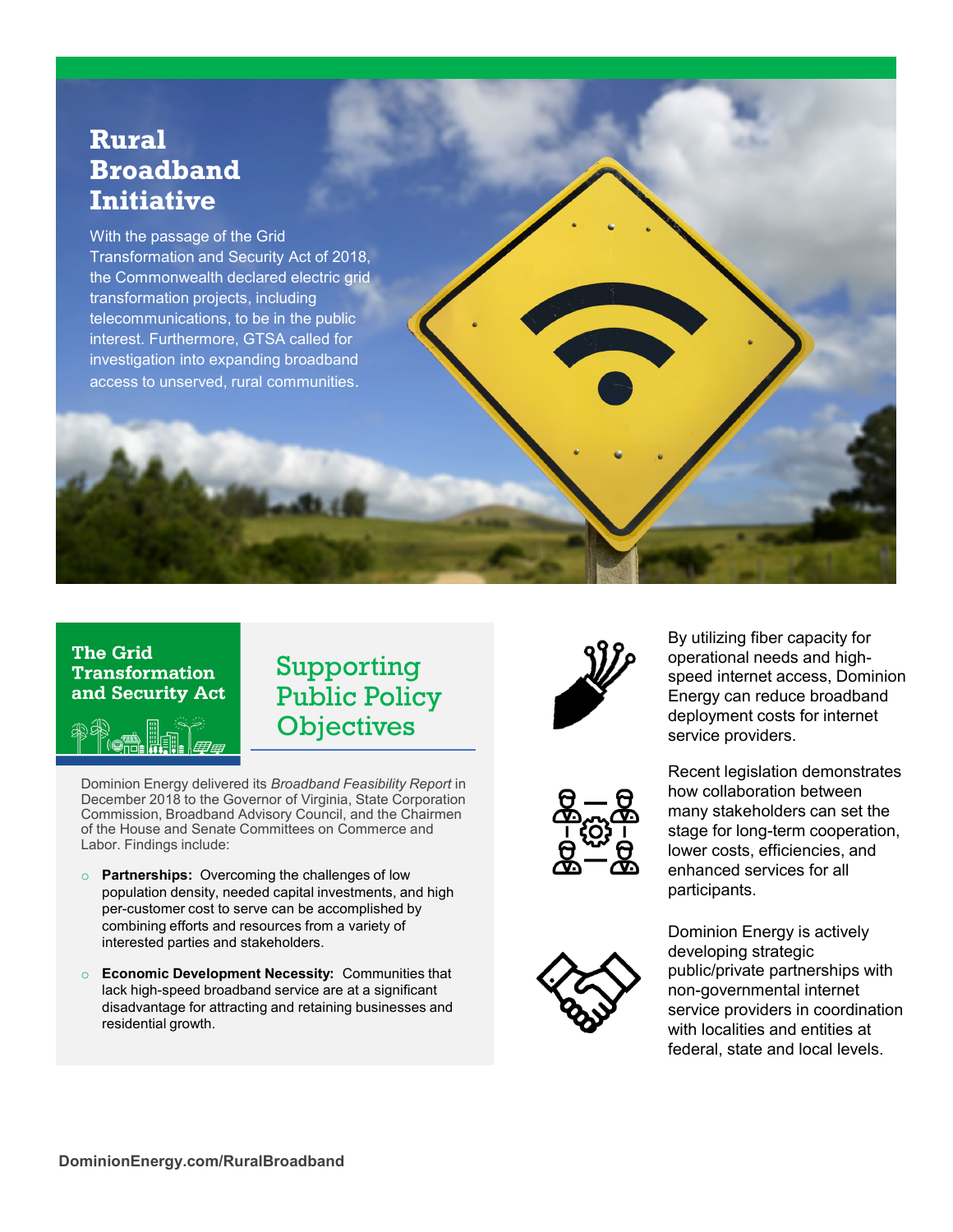# **Rural Broadband Initiative**

With the passage of the Grid Transformation and Security Act of 2018, the Commonwealth declared electric grid transformation projects, including telecommunications, to be in the public interest. Furthermore, GTSA called for investigation into expanding broadband access to unserved, rural communities.

### **The Grid Transformation** and Security Act



# Supporting Public Policy **Objectives**

Dominion Energy delivered its *Broadband Feasibility Report* in December 2018 to the Governor of Virginia, State Corporation Commission, Broadband Advisory Council, and the Chairmen of the House and Senate Committees on Commerce and Labor. Findings include:

- o **Partnerships:** Overcoming the challenges of low population density, needed capital investments, and high per-customer cost to serve can be accomplished by combining efforts and resources from a variety of interested parties and stakeholders.
- o **Economic Development Necessity:** Communities that lack high-speed broadband service are at a significant disadvantage for attracting and retaining businesses and residential growth.







By utilizing fiber capacity for operational needs and highspeed internet access, Dominion Energy can reduce broadband deployment costs for internet service providers.

Recent legislation demonstrates how collaboration between many stakeholders can set the stage for long-term cooperation, lower costs, efficiencies, and enhanced services for all participants.

Dominion Energy is actively developing strategic public/private partnerships with non-governmental internet service providers in coordination with localities and entities at federal, state and local levels.